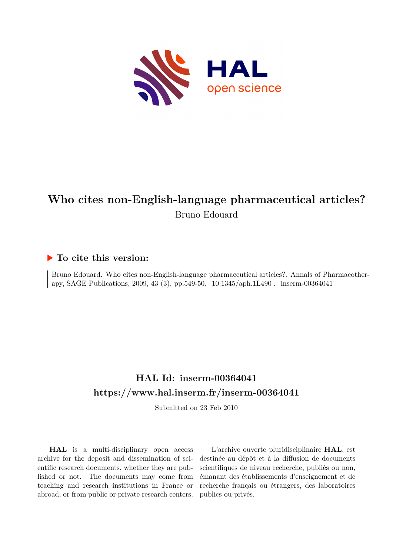

# **Who cites non-English-language pharmaceutical articles?** Bruno Edouard

## **To cite this version:**

Bruno Edouard. Who cites non-English-language pharmaceutical articles?. Annals of Pharmacotherapy, SAGE Publications, 2009, 43 (3), pp.549-50. 10.1345/aph.1L490 . inserm-00364041

# **HAL Id: inserm-00364041 <https://www.hal.inserm.fr/inserm-00364041>**

Submitted on 23 Feb 2010

**HAL** is a multi-disciplinary open access archive for the deposit and dissemination of scientific research documents, whether they are published or not. The documents may come from teaching and research institutions in France or abroad, or from public or private research centers.

L'archive ouverte pluridisciplinaire **HAL**, est destinée au dépôt et à la diffusion de documents scientifiques de niveau recherche, publiés ou non, émanant des établissements d'enseignement et de recherche français ou étrangers, des laboratoires publics ou privés.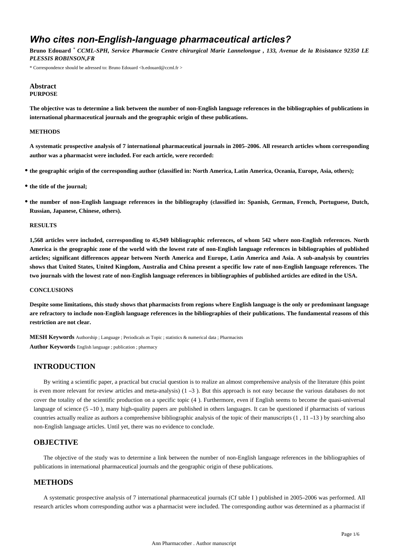## *Who cites non-English-language pharmaceutical articles?*

**Bruno Edouard** \* *CCML-SPH, Service Pharmacie Centre chirurgical Marie Lannelongue , 133, Avenue de la R*é*sistance 92350 LE PLESSIS ROBINSON,FR*

\* Correspondence should be adressed to: Bruno Edouard <b.edouard@ccml.fr >

#### **Abstract PURPOSE**

**The objective was to determine a link between the number of non-English language references in the bibliographies of publications in international pharmaceutical journals and the geographic origin of these publications.**

#### **METHODS**

**A systematic prospective analysis of 7 international pharmaceutical journals in 2005**–**2006. All research articles whom corresponding author was a pharmacist were included. For each article, were recorded:**

- **the geographic origin of the corresponding author (classified in: North America, Latin America, Oceania, Europe, Asia, others);**
- **the title of the journal;**
- **the number of non-English language references in the bibliography (classified in: Spanish, German, French, Portuguese, Dutch, Russian, Japanese, Chinese, others).**

#### **RESULTS**

**1,568 articles were included, corresponding to 45,949 bibliographic references, of whom 542 where non-English references. North America is the geographic zone of the world with the lowest rate of non-English language references in bibliographies of published articles; significant differences appear between North America and Europe, Latin America and Asia. A sub-analysis by countries shows that United States, United Kingdom, Australia and China present a specific low rate of non-English language references. The two journals with the lowest rate of non-English language references in bibliographies of published articles are edited in the USA.**

#### **CONCLUSIONS**

**Despite some limitations, this study shows that pharmacists from regions where English language is the only or predominant language are refractory to include non-English language references in the bibliographies of their publications. The fundamental reasons of this restriction are not clear.**

**MESH Keywords** Authorship ; Language ; Periodicals as Topic ; statistics & numerical data ; Pharmacists **Author Keywords** English language ; publication ; pharmacy

## **INTRODUCTION**

By writing a scientific paper, a practical but crucial question is to realize an almost comprehensive analysis of the literature (this point is even more relevant for review articles and meta-analysis) (1 –3 ). But this approach is not easy because the various databases do not cover the totality of the scientific production on a specific topic (4 ). Furthermore, even if English seems to become the quasi-universal language of science (5 –10), many high-quality papers are published in others languages. It can be questioned if pharmacists of various countries actually realize as authors a comprehensive bibliographic analysis of the topic of their manuscripts (1 , 11 –13 ) by searching also non-English language articles. Until yet, there was no evidence to conclude.

## **OBJECTIVE**

The objective of the study was to determine a link between the number of non-English language references in the bibliographies of publications in international pharmaceutical journals and the geographic origin of these publications.

## **METHODS**

A systematic prospective analysis of 7 international pharmaceutical journals (Cf table I ) published in 2005–2006 was performed. All research articles whom corresponding author was a pharmacist were included. The corresponding author was determined as a pharmacist if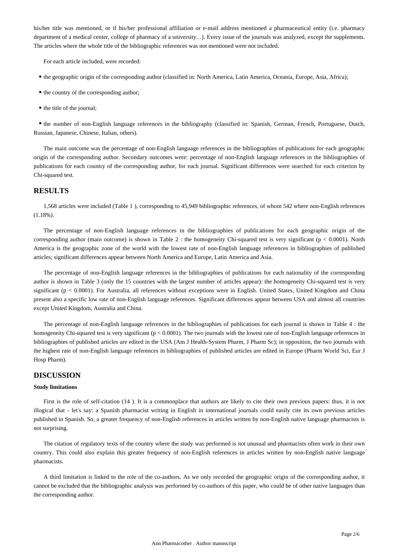his/her title was mentioned, or if his/her professional affiliation or e-mail address mentioned a pharmaceutical entity (i.e. pharmacy department of a medical center, college of pharmacy of a university…). Every issue of the journals was analyzed, except the supplements. The articles where the whole title of the bibliographic references was not mentioned were not included.

For each article included, were recorded:

- the geographic origin of the corresponding author (classified in: North America, Latin America, Oceania, Europe, Asia, Africa);
- the country of the corresponding author;
- the title of the journal;

the number of non-English language references in the bibliography (classified in: Spanish, German, French, Portuguese, Dutch, Russian, Japanese, Chinese, Italian, others).

The main outcome was the percentage of non-English language references in the bibliographies of publications for each geographic origin of the corresponding author. Secondary outcomes were: percentage of non-English language references in the bibliographies of publications for each country of the corresponding author, for each journal. Significant differences were searched for each criterion by Chi-squared test.

### **RESULTS**

1,568 articles were included (Table 1 ), corresponding to 45,949 bibliographic references, of whom 542 where non-English references (1.18%).

The percentage of non-English language references in the bibliographies of publications for each geographic origin of the corresponding author (main outcome) is shown in Table 2 : the homogeneity Chi-squared test is very significant (p < 0.0001). North America is the geographic zone of the world with the lowest rate of non-English language references in bibliographies of published articles; significant differences appear between North America and Europe, Latin America and Asia.

The percentage of non-English language references in the bibliographies of publications for each nationality of the corresponding author is shown in Table 3 (only the 15 countries with the largest number of articles appear): the homogeneity Chi-squared test is very significant (p < 0.0001). For Australia, all references without exceptions were in English. United States, United Kingdom and China present also a specific low rate of non-English language references. Significant differences appear between USA and almost all countries except United Kingdom, Australia and China.

The percentage of non-English language references in the bibliographies of publications for each journal is shown in Table 4 : the homogeneity Chi-squared test is very significant  $(p < 0.0001)$ . The two journals with the lowest rate of non-English language references in bibliographies of published articles are edited in the USA (Am J Health-System Pharm, J Pharm Sc); in opposition, the two journals with the highest rate of non-English language references in bibliographies of published articles are edited in Europe (Pharm World Sci, Eur J Hosp Pharm).

#### **DISCUSSION**

#### **Study limitations**

First is the role of self-citation (14). It is a commonplace that authors are likely to cite their own previous papers: thus, it is not illogical that - let's say: a Spanish pharmacist writing in English in international journals could easily cite its own previous articles published in Spanish. So, a greater frequency of non-English references in articles written by non-English native language pharmacists is not surprising.

The citation of regulatory texts of the country where the study was performed is not unusual and pharmacists often work in their own country. This could also explain this greater frequency of non-English references in articles written by non-English native language pharmacists.

A third limitation is linked to the role of the co-authors. As we only recorded the geographic origin of the corresponding author, it cannot be excluded that the bibliographic analysis was performed by co-authors of this paper, who could be of other native languages than the corresponding author.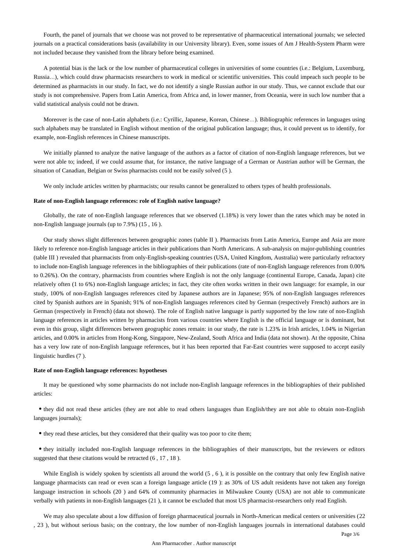Fourth, the panel of journals that we choose was not proved to be representative of pharmaceutical international journals; we selected journals on a practical considerations basis (availability in our University library). Even, some issues of Am J Health-System Pharm were not included because they vanished from the library before being examined.

A potential bias is the lack or the low number of pharmaceutical colleges in universities of some countries (i.e.: Belgium, Luxemburg, Russia…), which could draw pharmacists researchers to work in medical or scientific universities. This could impeach such people to be determined as pharmacists in our study. In fact, we do not identify a single Russian author in our study. Thus, we cannot exclude that our study is not comprehensive. Papers from Latin America, from Africa and, in lower manner, from Oceania, were in such low number that a valid statistical analysis could not be drawn.

Moreover is the case of non-Latin alphabets (i.e.: Cyrillic, Japanese, Korean, Chinese…). Bibliographic references in languages using such alphabets may be translated in English without mention of the original publication language; thus, it could prevent us to identify, for example, non-English references in Chinese manuscripts.

We initially planned to analyze the native language of the authors as a factor of citation of non-English language references, but we were not able to; indeed, if we could assume that, for instance, the native language of a German or Austrian author will be German, the situation of Canadian, Belgian or Swiss pharmacists could not be easily solved (5 ).

We only include articles written by pharmacists; our results cannot be generalized to others types of health professionals.

#### **Rate of non-English language references: role of English native language?**

Globally, the rate of non-English language references that we observed (1.18%) is very lower than the rates which may be noted in non-English language journals (up to 7.9%) (15 , 16 ).

Our study shows slight differences between geographic zones (table II ). Pharmacists from Latin America, Europe and Asia are more likely to reference non-English language articles in their publications than North Americans. A sub-analysis on major-publishing countries (table III ) revealed that pharmacists from only-English-speaking countries (USA, United Kingdom, Australia) were particularly refractory to include non-English language references in the bibliographies of their publications (rate of non-English language references from 0.00% to 0.26%). On the contrary, pharmacists from countries where English is not the only language (continental Europe, Canada, Japan) cite relatively often (1 to 6%) non-English language articles; in fact, they cite often works written in their own language: for example, in our study, 100% of non-English languages references cited by Japanese authors are in Japanese; 95% of non-English languages references cited by Spanish authors are in Spanish; 91% of non-English languages references cited by German (respectively French) authors are in German (respectively in French) (data not shown). The role of English native language is partly supported by the low rate of non-English language references in articles written by pharmacists from various countries where English is the official language or is dominant, but even in this group, slight differences between geographic zones remain: in our study, the rate is 1.23% in Irish articles, 1.04% in Nigerian articles, and 0.00% in articles from Hong-Kong, Singapore, New-Zealand, South Africa and India (data not shown). At the opposite, China has a very low rate of non-English language references, but it has been reported that Far-East countries were supposed to accept easily linguistic hurdles (7 ).

#### **Rate of non-English language references: hypotheses**

It may be questioned why some pharmacists do not include non-English language references in the bibliographies of their published articles:

they did not read these articles (they are not able to read others languages than English/they are not able to obtain non-English languages journals);

they read these articles, but they considered that their quality was too poor to cite them;

they initially included non-English language references in the bibliographies of their manuscripts, but the reviewers or editors suggested that these citations would be retracted  $(6, 17, 18)$ .

While English is widely spoken by scientists all around the world  $(5, 6)$ , it is possible on the contrary that only few English native language pharmacists can read or even scan a foreign language article (19): as 30% of US adult residents have not taken any foreign language instruction in schools (20 ) and 64% of community pharmacies in Milwaukee County (USA) are not able to communicate verbally with patients in non-English languages (21 ), it cannot be excluded that most US pharmacist-researchers only read English.

We may also speculate about a low diffusion of foreign pharmaceutical journals in North-American medical centers or universities (22 , 23 ), but without serious basis; on the contrary, the low number of non-English languages journals in international databases could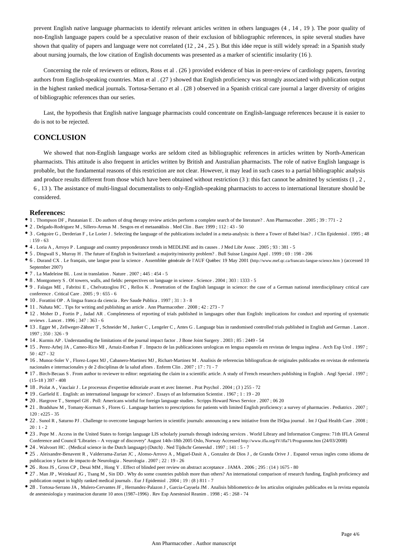prevent English native language pharmacists to identify relevant articles written in others languages (4 , 14 , 19 ). The poor quality of non-English language papers could be a speculative reason of their exclusion of bibliographic references, in spite several studies have shown that quality of papers and language were not correlated (12 , 24 , 25 ). But this idée reçue is still widely spread: in a Spanish study about nursing journals, the low citation of English documents was presented as a marker of scientific insularity (16 ).

Concerning the role of reviewers or editors, Ross et al . (26 ) provided evidence of bias in peer-review of cardiology papers, favoring authors from English-speaking countries. Man et al . (27 ) showed that English proficiency was strongly associated with publication output in the highest ranked medical journals. Tortosa-Serrano et al . (28 ) observed in a Spanish critical care journal a larger diversity of origins of bibliographic references than our series.

Last, the hypothesis that English native language pharmacists could concentrate on English-language references because it is easier to do is not to be rejected.

## **CONCLUSION**

We showed that non-English language works are seldom cited as bibliographic references in articles written by North-American pharmacists. This attitude is also frequent in articles written by British and Australian pharmacists. The role of native English language is probable, but the fundamental reasons of this restriction are not clear. However, it may lead in such cases to a partial bibliographic analysis and produce results different from those which have been obtained without restriction  $(3)$ : this fact cannot be admitted by scientists  $(1, 2, 3)$ 6 , 13 ). The assistance of multi-lingual documentalists to only-English-speaking pharmacists to access to international literature should be considered.

#### **References:**

- 1 . Thompson DF , Patatanian E . Do authors of drug therapy review articles perform a complete search of the literature? . Ann Pharmacother . 2005 ; 39 : 771 2
- 2 . Delgado-Rodriguez M , Sillero-Arenas M . Sesgos en el metaanàlisis . Med Clin . Barc 1999 ; 112 : 43 50
- 3 . Grégoire G , Derderian F , Le Lorier J . Selecting the language of the publications included in a meta-analysis: is there a Tower of Babel bias? . J Clin Epidemiol . 1995 ; 48 : 159 - 63
- 4 . Loria A , Arroyo P . Language and country preponderance trends in MEDLINE and its causes . J Med Libr Assoc . 2005 ; 93 : 381 5
- 5 . Dingwall S , Murray H . The future of English in Switzerland: a majority/minority problem? . Bull Suisse Linguist Appl . 1999 ; 69 : 198 206
- 6 . Durand CX . Le français, une langue pour la science . Assemblée générale de l'AUF Québec 19 May 2001 (http://www.mef.qc.ca/francais-langue-science.htm ) (accessed 10 September 2007)
- 7 . La Madeleine BL . Lost in translation . Nature . 2007 ; 445 : 454 5
- 8 . Montgomery S . Of towers, walls, and fields: perspectives on language in science . Science . 2004 ; 303 : 1333 5
- 9 . Falagas ME , Fabritsi E , Chelvatzoglou FC , Rellos K . Penetration of the English language in science: the case of a German national interdisciplinary critical care conference . Critical Care . 2005 ; 9 : 655 - 6
- 10 . Forattini OP . A lingua franca da ciencia . Rev Saude Publica . 1997 ; 31 : 3 8
- 11 . Nahata MC . Tips for writing and publishing an article . Ann Pharmacother . 2008 ; 42 : 273 7
- 12 . Moher D , Fortin P , Jadad AR . Completeness of reporting of trials published in languages other than English: implications for conduct and reporting of systematic reviews . Lancet . 1996 ; 347 : 363 - 6
- 13 . Egger M , Zellweger-Zähner T , Schneider M , Junker C , Lengeler C , Antes G . Language bias in randomised controlled trials published in English and German . Lancet . 1997 ; 350 : 326 - 9
- 14 . Kurmis AP . Understanding the limitations of the journal impact factor . J Bone Joint Surgery . 2003 ; 85 : 2449 54
- 15 . Perez-Arbej JA , Cameo-Rico MI , Arnaiz-Esteban F . Impacto de las publicaciones urologicas en lengua espanola en revistas de lengua inglesa . Arch Esp Urol . 1997 ;  $50 \cdot 427 - 32$
- 16 . Munoz-Soler V , Florez-Lopez MJ , Cabanero-Martinez MJ , Richart-Martinez M . Analisis de referencias bibliograficas de originales publicados en revistas de enfermeria nacionales e internacionales y de 2 disciplinas de la salud afines . Enferm Clin . 2007 ; 17 : 71 - 7
- 17 . Birch-Becaas S . From author to reviewer to editor: negotiating the claim in a scientific article. A study of French researchers publishing in English . Angl Special . 1997 ;  $(15-18)$  397 - 408
- 18 . Piolat A , Vauclair J . Le processus d'expertise éditoriale avant et avec Internet . Prat Psychol . 2004 ; (3 ) 255 72
- 19 . Garfield E . English: an international language for science? . Essays of an Information Scientist . 1967 ; 1 : 19 20
- 20 . Hargrove T , Stempel GH . Poll: Americans wistful for foreign language studies . Scripps Howard News Service . 2007 ; 06 20
- 21 . Bradshaw M , Tomany-Korman S , Flores G . Language barriers to prescriptions for patients with limited English proficiency: a survey of pharmacies . Pediatrics . 2007 ; 120 : e225 - 35
- 22 . Sunol R , Saturno PJ . Challenge to overcome language barriers in scientific journals: announcing a new initiative from the ISQua journal . Int J Qual Health Care . 2008 ;  $20:1 - 2$
- 23 . Pope M . Access in the United States to foreign language LIS scholarly journals through indexing services . World Library and Information Congress: 71th IFLA General Conference and Council "Libraries – A voyage of discovery" August 14th–18th 2005 Oslo, Norway Accessed http://www.ifla.org/IV/ifla71/Programme.htm (24/03/2008)
- 24 . Walvoort HC . (Medical science in the Dutch language) (Dutch) . Ned Tijdschr Geneeskd . 1997 ; 141 : 5 7
- 25 . Aleixandre-Benavent R , Valderrama-Zurian JC , Alonso-Arrovo A , Miguel-Dasit A , Gonzalez de Dios J , de Granda Orive J . Espanol versus ingles como idioma de publicacion y factor de impacto de Neurologia . Neurologia . 2007 ; 22 : 19 - 26
- <sup>•</sup> 26 . Ross JS , Gross CP , Desai MM , Hong Y . Effect of blinded peer review on abstract acceptance . JAMA . 2006 ; 295 : (14 ) 1675 80
- 27 . Man JP , Weinkauf JG , Tsang M , Sin DD . Why do some countries publish more than others? An international comparison of research funding, English proficiency and publication output in highly ranked medical journals . Eur J Epidemiol . 2004 ; 19 : (8 ) 811 - 7
- 28 . Tortosa-Serrano JA , Mulero-Cervantes JF , Hernandez-Palazon J , Garcia-Cayuela JM . Analisis bibliometrico de los articulos originales publicados en la revista espanola de anestesiologia y reanimacion durante 10 anos (1987–1996) . Rev Esp Anestesiol Reanim . 1998 ; 45 : 268 - 74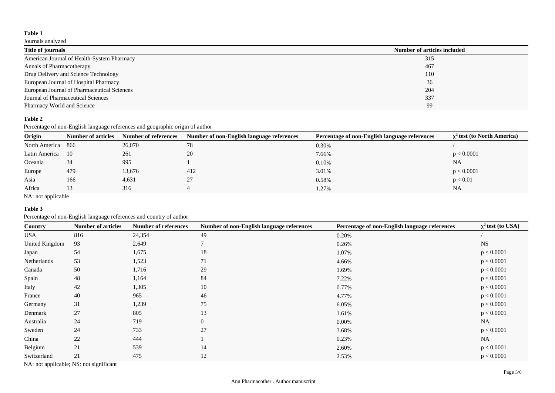### **Table 1**

## Journals analyzed

| Title of journals                           | Number of articles included |
|---------------------------------------------|-----------------------------|
| American Journal of Health-System Pharmacy  | 315                         |
| Annals of Pharmacotherapy                   | 467                         |
| Drug Delivery and Science Technology        | 110                         |
| European Journal of Hospital Pharmacy       | 36                          |
| European Journal of Pharmaceutical Sciences | 204                         |
| Journal of Pharmaceutical Sciences          | 337                         |
| Pharmacy World and Science                  | 99                          |

## **Table 2**

Percentage of non-English language references and geographic origin of author

| Origin        | <b>Number of articles</b> | Number of references | Number of non-English language references | Percentage of non-English language references | $x^2$ test (to North America) |
|---------------|---------------------------|----------------------|-------------------------------------------|-----------------------------------------------|-------------------------------|
| North America | 866                       | 26,070               | 78                                        | 0.30%                                         |                               |
| Latin America | 10                        | 261                  | 20                                        | 7.66%                                         | p < 0.0001                    |
| Oceania       | 34                        | 995                  |                                           | 0.10%                                         | NA                            |
| Europe        | 479                       | 13,676               | 412                                       | 3.01%                                         | p < 0.0001                    |
| Asia          | 166                       | 4,631                | 27                                        | 0.58%                                         | p < 0.01                      |
| Africa        | 13                        | 316                  |                                           | 1.27%                                         | <b>NA</b>                     |

NA: not applicable

#### **Table 3**

Percentage of non-English language references and country of author

| <b>Country</b> | <b>Number of articles</b> | <b>Number of references</b> | Number of non-English language references | Percentage of non-English language references | $\chi^2$ test (to USA) |
|----------------|---------------------------|-----------------------------|-------------------------------------------|-----------------------------------------------|------------------------|
| <b>USA</b>     | 816                       | 24,354                      | 49                                        | 0.20%                                         |                        |
| United Kingdom | 93                        | 2,649                       | 7                                         | 0.26%                                         | <b>NS</b>              |
| Japan          | 54                        | 1,675                       | 18                                        | 1.07%                                         | p < 0.0001             |
| Netherlands    | 53                        | 1,523                       | 71                                        | 4.66%                                         | p < 0.0001             |
| Canada         | 50                        | 1,716                       | 29                                        | 1.69%                                         | p < 0.0001             |
| Spain          | 48                        | 1,164                       | 84                                        | 7.22%                                         | p < 0.0001             |
| Italy          | 42                        | 1,305                       | 10                                        | 0.77%                                         | p < 0.0001             |
| France         | 40                        | 965                         | 46                                        | 4.77%                                         | p < 0.0001             |
| Germany        | 31                        | 1,239                       | 75                                        | 6.05%                                         | p < 0.0001             |
| Denmark        | 27                        | 805                         | 13                                        | 1.61%                                         | p < 0.0001             |
| Australia      | 24                        | 719                         | $\overline{0}$                            | $0.00\%$                                      | <b>NA</b>              |
| Sweden         | 24                        | 733                         | 27                                        | 3.68%                                         | p < 0.0001             |
| China          | 22                        | 444                         |                                           | 0.23%                                         | <b>NA</b>              |
| Belgium        | 21                        | 539                         | 14                                        | 2.60%                                         | p < 0.0001             |
| Switzerland    | 21                        | 475                         | 12                                        | 2.53%                                         | p < 0.0001             |

NA: not applicable; NS: not significant